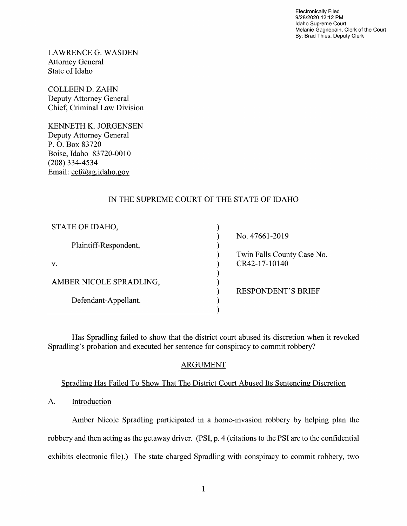Electronically Filed 9/28/2020 12:12 PM Idaho Supreme Court Melanie Gagnepain, Clerk of the Court By: Brad Thies, Deputy Clerk

LAWRENCE G.WASDEN Attorney General State 0f Idaho

COLLEEN D. ZAHN Deputy Attorney General Chief, Criminal Law Division

KENNETH K. JORGENSEN Deputy Attorney General P. O. Box 83720 Boise, Idaho 83720-00 (208) 334-4534 Email: ecf@ag.idaho.gov

# IN THE SUPREME COURT OF THE STATE OF IDAHO

| STATE OF IDAHO,         |                            |
|-------------------------|----------------------------|
|                         | No. 47661-2019             |
| Plaintiff-Respondent,   |                            |
|                         | Twin Falls County Case No. |
| V.                      | CR42-17-10140              |
|                         |                            |
| AMBER NICOLE SPRADLING, |                            |
|                         | <b>RESPONDENT'S BRIEF</b>  |
| Defendant-Appellant.    |                            |
|                         |                            |

Has Spradling failed to show that the district court abused its discretion when it revoked Spradling's probation and executed her sentence for conspiracy to commit robbery?

## ARGUMENT

Spradling Has Failed To Show That The District Court Abused Its Sentencing Discretion

A. Introduction

Amber Nicole Spradling participated in a home-invasion robbery by helping plan the robbery and then acting as the getaway driver. (PSI, p. 4 (citations to the PSI are to the confidential exhibits electronic file).) The state charged Spradling with conspiracy to commit robbery, two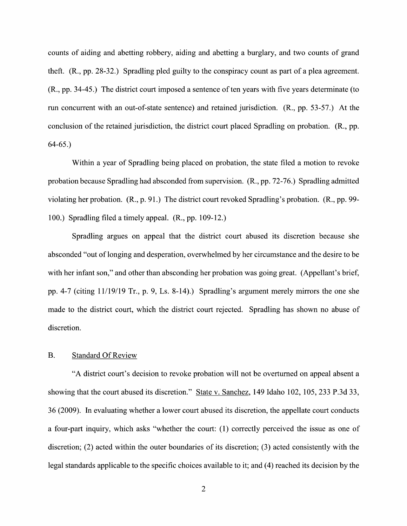counts of aiding and abetting robbery, aiding and abetting a burglary, and two counts of grand theft.  $(R., pp. 28-32.)$  Spradling pled guilty to the conspiracy count as part of a plea agreement. (R., pp. 34-45.) The district court imposed a sentence of ten years with five years determinate (to run concurrent with an out-of-state sentence) and retained jurisdiction. (R., pp. 53-57.) At the conclusion of the retained jurisdiction, the district court placed Spradling 0n probation. (R., pp. 64-65.)

Within a year of Spradling being placed on probation, the state filed a motion to revoke probation because Spradling had absconded from supervision. (R., pp. 72-76.) Spradling admitted Violating her probation. (R., p. 91.) The district court revoked Spradling's probation. (R., pp. 99- 100.) Spradling filed a timely appeal.  $(R., pp. 109-12.)$ 

Spradling argues on appeal that the district court abused its discretion because she absconded "out of longing and desperation, overwhelmed by her circumstance and the desire to be with her infant son," and other than absconding her probation was going great. (Appellant's brief, pp. 4-7 (citing  $11/19/19$  Tr., p. 9, Ls. 8-14).) Spradling's argument merely mirrors the one she made to the district court, Which the district court rejected. Spradling has shown no abuse of discretion.

### B. Standard Of Review

"A district court's decision to revoke probation Will not be overturned 0n appeal absent showing that the court abused its discretion." State v. Sanchez, 149 Idaho 102, 105, 233 P.3d 33, 36 (2009). In evaluating whether a lower court abused its discretion, the appellate court conducts a four-part inquiry, which asks "whether the court: (1) correctly perceived the issue as one of discretion; (2) acted within the outer boundaries of its discretion; (3) acted consistently with the legal standards applicable to the specific choices available to it; and (4) reached its decision by the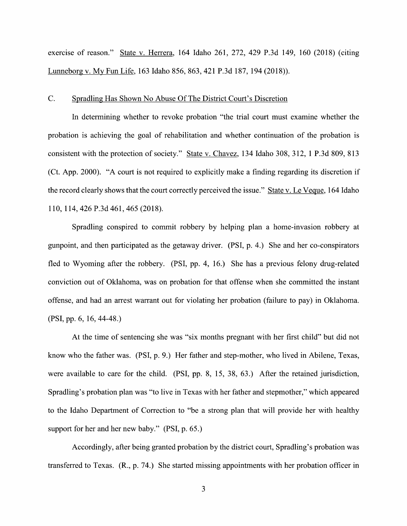exercise of reason." State V. Herrera, 164 Idaho 261, 272, 429 P.3d 149, 160 (2018) (citing Lunneborg V. MV Fun Life, <sup>163</sup> Idaho 856, 863, <sup>421</sup> P.3d 187, <sup>194</sup> (2018)).

#### C. Spradling Has Shown N0 Abuse Of The District Court's Discretion

In determining whether to revoke probation "the trial court must examine whether the probation is achieving the goal of rehabilitation and whether continuation 0f the probation is consistent with the protection of society." State v. Chavez, 134 Idaho 308, 312, 1 P.3d 809, 813 (Ct. App. 2000). "A court is not required to explicitly make a finding regarding its discretion if the record clearly shows that the court correctly perceived the issue." State v. Le Veque, 164 Idaho 110, 114, 426 P.3d 461, 465 (2018).

Spradling conspired to commit robbery by helping plan a home-invasion robbery at gunpoint, and then participated as the getaway driver. (PSI, p. 4.) She and her co-conspirators fled to Wyoming after the robbery. (PSI, pp. 4, 16.) She has a previous felony drug-related conviction out 0f Oklahoma, was 0n probation for that offense When she committed the instant offense, and had an arrest warrant out for Violating her probation (failure to pay) in Oklahoma. (PSI, pp. 6, 16, 44-48.)

At the time 0f sentencing she was "six months pregnant With her first child" but did not know who the father was. (PSI, p. 9.) Her father and step-mother, who lived in Abilene, Texas, were available to care for the child. (PSI, pp. 8, 15, 38, 63.) After the retained jurisdiction, Spradling's probation plan was "to live in Texas with her father and stepmother," Which appeared to the Idaho Department of Correction to "be a strong plan that will provide her with healthy support for her and her new baby." (PSI, p. 65.)

Accordingly, after being granted probation by the district court, Spradling's probation was transferred to Texas. (R., p. 74.) She started missing appointments with her probation officer in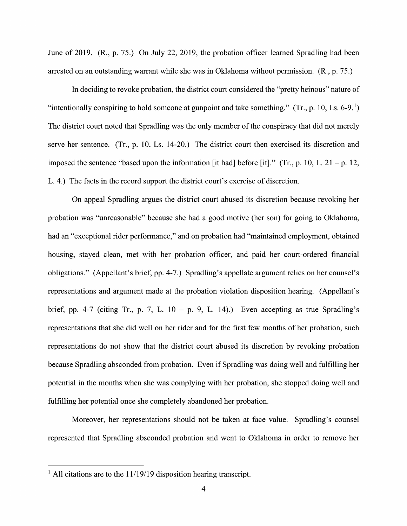June of 2019. (R., p. 75.) On July 22, 2019, the probation officer learned Spradling had been arrested on an outstanding warrant while she was in Oklahoma without permission. (R., p. 75.)

In deciding to revoke probation, the district court considered the "pretty heinous" nature of "intentionally conspiring to hold someone at gunpoint and take something." (Tr., p. 10, Ls. 6-9.<sup>1</sup>) The district court noted that Spradling was the only member of the conspiracy that did not merely serve her sentence. (Tr., p. 10, Ls. 14-20.) The district court then exercised its discretion and imposed the sentence "based upon the information [it had] before [it]." (Tr., p. 10, L. 21 – p. 12, L. 4.) The facts in the record support the district court's exercise of discretion.

On appeal Spradling argues the district court abused its discretion because revoking her probation was "unreasonable" because she had good motive (her son) for going t0 Oklahoma, had an "exceptional rider performance," and on probation had "maintained employment, obtained housing, stayed clean, met With her probation officer, and paid her court-ordered financial obligations." (Appellant's brief, pp. 4-7.) Spradling's appellate argument relies 0n her counsel's representations and argument made at the probation violation disposition hearing. (Appellant's brief, pp. 4-7 (citing Tr., p. 7, L.  $10 - p$ . 9, L. 14).) Even accepting as true Spradling's representations that she did well 0n her rider and for the first few months 0f her probation, such representations d0 not show that the district court abused its discretion by revoking probation because Spradling absconded from probation. Even if Spradling was doing well and fulfilling her potential in the months when she was complying with her probation, she stopped doing well and fillfilling her potential once she completely abandoned her probation.

Moreover, her representations should not be taken at face value. Spradling's counsel represented that Spradling absconded probation and went to Oklahoma in order to remove her

 $<sup>1</sup>$  All citations are to the 11/19/19 disposition hearing transcript.</sup>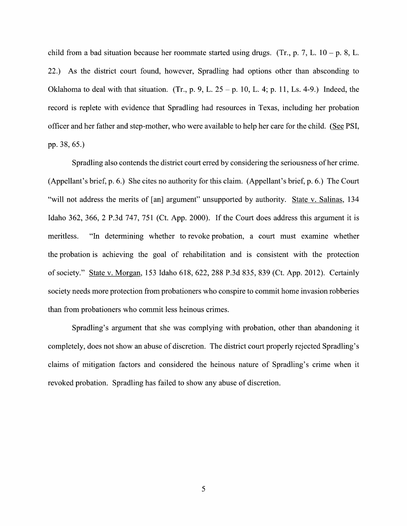child from a bad situation because her roommate started using drugs. (Tr., p. 7, L.  $10 - p$ . 8, L. 22.) As the district court found, however, Spradling had options other than absconding to Oklahoma to deal with that situation. (Tr., p. 9, L.  $25 - p$ . 10, L. 4; p. 11, Ls. 4-9.) Indeed, the record is replete with evidence that Spradling had resources in Texas, including her probation officer and her father and step-mother, who were available to help her care for the child. (See PSI, pp. 38, 65.)

Spradling also contends the district court erred by considering the seriousness of her crime. (Appellant's brief, p. 6.) She cites n0 authority for this claim. (Appellant's brief, p. 6.) The Court "will not address the merits of [an] argument" unsupported by authority. State v. Salinas, 134 Idaho 362, 366, 2 P.3d 747, 751 (Ct. App. 2000). If the Court does address this argument it is meritless. "In determining whether to revoke probation, a court must examine whether the probation is achieving the goal of rehabilitation and is consistent with the protection 0f society." State V. Morgan, 153 Idaho 618, 622, 288 P.3d 835, 839 (Ct. App. 2012). Certainly society needs more protection from probationers Who conspire to commit home invasion robberies than from probationers who commit less heinous crimes.

Spradling's argument that she was complying with probation, other than abandoning it completely, does not show an abuse of discretion. The district court properly rejected Spradling's claims 0f mitigation factors and considered the heinous nature of Spradling's crime When it revoked probation. Spradling has failed to show any abuse of discretion.